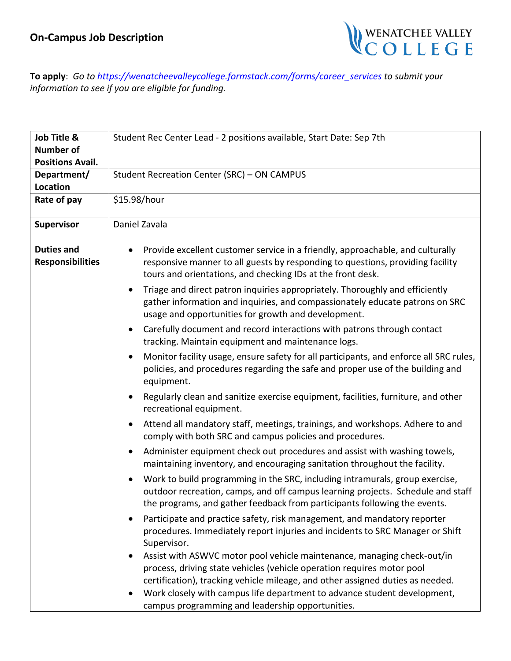

**To apply**: *Go t[o https://wenatcheevalleyc](mailto:aolson@wvc.edu)ollege.formstack.com/forms/career\_services to submit your information to see if you are eligible for funding.*

| Job Title &                                  | Student Rec Center Lead - 2 positions available, Start Date: Sep 7th                                                                                                                                                                                      |
|----------------------------------------------|-----------------------------------------------------------------------------------------------------------------------------------------------------------------------------------------------------------------------------------------------------------|
| <b>Number of</b>                             |                                                                                                                                                                                                                                                           |
| <b>Positions Avail.</b>                      |                                                                                                                                                                                                                                                           |
| Department/                                  | Student Recreation Center (SRC) - ON CAMPUS                                                                                                                                                                                                               |
| <b>Location</b>                              |                                                                                                                                                                                                                                                           |
| Rate of pay                                  | \$15.98/hour                                                                                                                                                                                                                                              |
| <b>Supervisor</b>                            | Daniel Zavala                                                                                                                                                                                                                                             |
| <b>Duties and</b><br><b>Responsibilities</b> | Provide excellent customer service in a friendly, approachable, and culturally<br>$\bullet$<br>responsive manner to all guests by responding to questions, providing facility<br>tours and orientations, and checking IDs at the front desk.              |
|                                              | Triage and direct patron inquiries appropriately. Thoroughly and efficiently<br>$\bullet$<br>gather information and inquiries, and compassionately educate patrons on SRC<br>usage and opportunities for growth and development.                          |
|                                              | Carefully document and record interactions with patrons through contact<br>$\bullet$<br>tracking. Maintain equipment and maintenance logs.                                                                                                                |
|                                              | Monitor facility usage, ensure safety for all participants, and enforce all SRC rules,<br>$\bullet$<br>policies, and procedures regarding the safe and proper use of the building and<br>equipment.                                                       |
|                                              | Regularly clean and sanitize exercise equipment, facilities, furniture, and other<br>$\bullet$<br>recreational equipment.                                                                                                                                 |
|                                              | Attend all mandatory staff, meetings, trainings, and workshops. Adhere to and<br>$\bullet$<br>comply with both SRC and campus policies and procedures.                                                                                                    |
|                                              | Administer equipment check out procedures and assist with washing towels,<br>$\bullet$<br>maintaining inventory, and encouraging sanitation throughout the facility.                                                                                      |
|                                              | Work to build programming in the SRC, including intramurals, group exercise,<br>$\bullet$<br>outdoor recreation, camps, and off campus learning projects. Schedule and staff<br>the programs, and gather feedback from participants following the events. |
|                                              | Participate and practice safety, risk management, and mandatory reporter<br>procedures. Immediately report injuries and incidents to SRC Manager or Shift<br>Supervisor.                                                                                  |
|                                              | Assist with ASWVC motor pool vehicle maintenance, managing check-out/in<br>process, driving state vehicles (vehicle operation requires motor pool                                                                                                         |
|                                              | certification), tracking vehicle mileage, and other assigned duties as needed.                                                                                                                                                                            |
|                                              | Work closely with campus life department to advance student development,<br>$\bullet$<br>campus programming and leadership opportunities.                                                                                                                 |